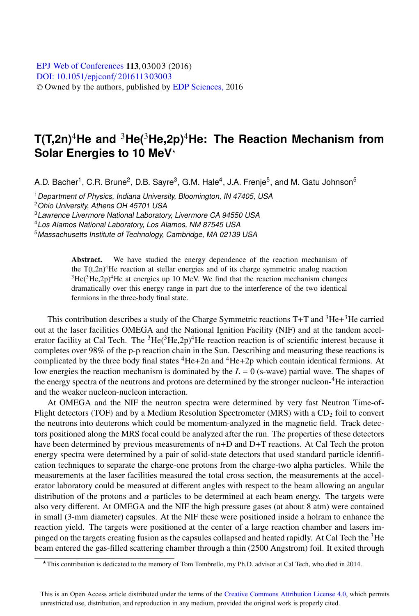## **T(T,2n)**4**He and** <sup>3</sup>**He(**3**He,2p)**4**He: The Reaction Mechanism from Solar Energies to 10 MeV**-

A.D. Bacher<sup>1</sup>, C.R. Brune<sup>2</sup>, D.B. Sayre<sup>3</sup>, G.M. Hale<sup>4</sup>, J.A. Frenje<sup>5</sup>, and M. Gatu Johnson<sup>5</sup>

<sup>1</sup> Department of Physics, Indiana University, Bloomington, IN 47405, USA <sup>2</sup>Ohio University, Athens OH 45701 USA

<sup>3</sup>Lawrence Livermore National Laboratory, Livermore CA 94550 USA

<sup>4</sup>Los Alamos National Laboratory, Los Alamos, NM 87545 USA

<sup>5</sup>Massachusetts Institute of Technology, Cambridge, MA 02139 USA

Abstract. We have studied the energy dependence of the reaction mechanism of the  $T(t,2n)^{4}$ He reaction at stellar energies and of its charge symmetric analog reaction  $3He(3He,2p)$ <sup>4</sup>He at energies up 10 MeV. We find that the reaction mechanism changes dramatically over this energy range in part due to the interference of the two identical fermions in the three-body final state.

This contribution describes a study of the Charge Symmetric reactions  $T+T$  and  ${}^{3}He+{}^{3}He$  carried out at the laser facilities OMEGA and the National Ignition Facility (NIF) and at the tandem accelerator facility at Cal Tech. The  ${}^{3}$ He( ${}^{3}$ He, $2p$ )<sup>4</sup>He reaction reaction is of scientific interest because it completes over 98% of the p-p reaction chain in the Sun. Describing and measuring these reactions is complicated by the three body final states  ${}^{4}$ He+2n and  ${}^{4}$ He+2p which contain identical fermions. At low energies the reaction mechanism is dominated by the *L* = 0 (s-wave) partial wave. The shapes of the energy spectra of the neutrons and protons are determined by the stronger nucleon-<sup>4</sup>He interaction and the weaker nucleon-nucleon interaction.

At OMEGA and the NIF the neutron spectra were determined by very fast Neutron Time-of-Flight detectors (TOF) and by a Medium Resolution Spectrometer (MRS) with a CD<sub>2</sub> foil to convert the neutrons into deuterons which could be momentum-analyzed in the magnetic field. Track detectors positioned along the MRS focal could be analyzed after the run. The properties of these detectors have been determined by previous measurements of  $n+D$  and  $D+T$  reactions. At Cal Tech the proton energy spectra were determined by a pair of solid-state detectors that used standard particle identification techniques to separate the charge-one protons from the charge-two alpha particles. While the measurements at the laser facilities measured the total cross section, the measurements at the accelerator laboratory could be measured at different angles with respect to the beam allowing an angular distribution of the protons and  $\alpha$  particles to be determined at each beam energy. The targets were also very different. At OMEGA and the NIF the high pressure gases (at about 8 atm) were contained in small (3-mm diameter) capsules. At the NIF these were positioned inside a holram to enhance the reaction yield. The targets were positioned at the center of a large reaction chamber and lasers impinged on the targets creating fusion as the capsules collapsed and heated rapidly. At Cal Tech the  ${}^{3}$ He beam entered the gas-filled scattering chamber through a thin (2500 Angstrom) foil. It exited through

<sup>-</sup>This contribution is dedicated to the memory of Tom Tombrello, my Ph.D. advisor at Cal Tech, who died in 2014.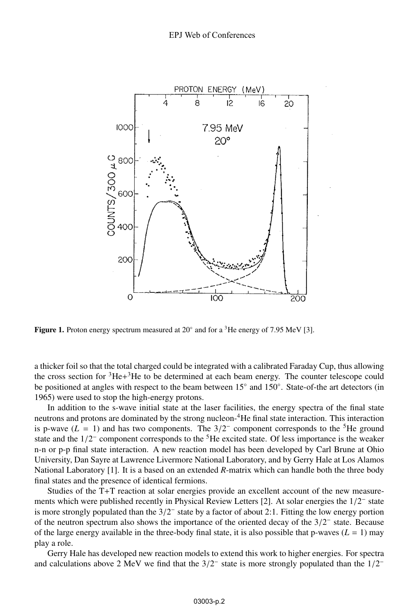

**Figure 1.** Proton energy spectrum measured at  $20^{\circ}$  and for a <sup>3</sup>He energy of 7.95 MeV [3].

a thicker foil so that the total charged could be integrated with a calibrated Faraday Cup, thus allowing the cross section for  ${}^{3}He+{}^{3}He$  to be determined at each beam energy. The counter telescope could be positioned at angles with respect to the beam between 15◦ and 150◦. State-of-the art detectors (in 1965) were used to stop the high-energy protons.

In addition to the s-wave initial state at the laser facilities, the energy spectra of the final state neutrons and protons are dominated by the strong nucleon-4He final state interaction. This interaction is p-wave ( $L = 1$ ) and has two components. The  $3/2^-$  component corresponds to the <sup>5</sup>He ground state and the  $1/2^-$  component corresponds to the <sup>5</sup>He excited state. Of less importance is the weaker n-n or p-p final state interaction. A new reaction model has been developed by Carl Brune at Ohio University, Dan Sayre at Lawrence Livermore National Laboratory, and by Gerry Hale at Los Alamos National Laboratory [1]. It is a based on an extended *R*-matrix which can handle both the three body final states and the presence of identical fermions.

Studies of the T+T reaction at solar energies provide an excellent account of the new measurements which were published recently in Physical Review Letters [2]. At solar energies the 1/2<sup>−</sup> state is more strongly populated than the 3/2<sup>−</sup> state by a factor of about 2:1. Fitting the low energy portion of the neutron spectrum also shows the importance of the oriented decay of the 3/2<sup>−</sup> state. Because of the large energy available in the three-body final state, it is also possible that p-waves  $(L = 1)$  may play a role.

Gerry Hale has developed new reaction models to extend this work to higher energies. For spectra and calculations above 2 MeV we find that the  $3/2^-$  state is more strongly populated than the  $1/2^-$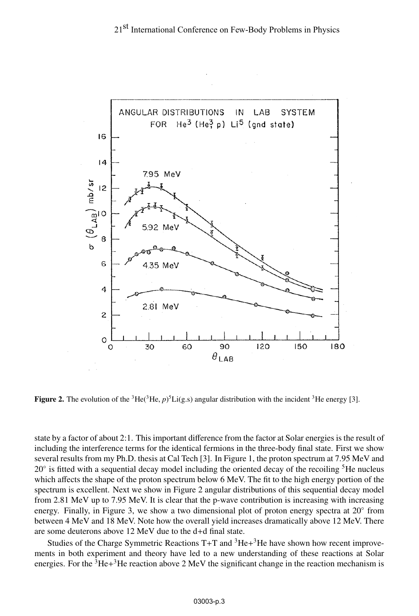

**Figure 2.** The evolution of the <sup>3</sup>He(<sup>3</sup>He,  $p$ )<sup>5</sup>Li(g.s) angular distribution with the incident <sup>3</sup>He energy [3].

state by a factor of about 2:1. This important difference from the factor at Solar energies is the result of including the interference terms for the identical fermions in the three-body final state. First we show several results from my Ph.D. thesis at Cal Tech [3]. In Figure 1, the proton spectrum at 7.95 MeV and  $20°$  is fitted with a sequential decay model including the oriented decay of the recoiling  ${}^{5}$ He nucleus which affects the shape of the proton spectrum below 6 MeV. The fit to the high energy portion of the spectrum is excellent. Next we show in Figure 2 angular distributions of this sequential decay model from 2.81 MeV up to 7.95 MeV. It is clear that the p-wave contribution is increasing with increasing energy. Finally, in Figure 3, we show a two dimensional plot of proton energy spectra at 20<sup>°</sup> from between 4 MeV and 18 MeV. Note how the overall yield increases dramatically above 12 MeV. There are some deuterons above 12 MeV due to the d+d final state.

Studies of the Charge Symmetric Reactions  $T+T$  and  ${}^{3}He+{}^{3}He$  have shown how recent improvements in both experiment and theory have led to a new understanding of these reactions at Solar energies. For the  ${}^{3}$ He+ ${}^{3}$ He reaction above 2 MeV the significant change in the reaction mechanism is